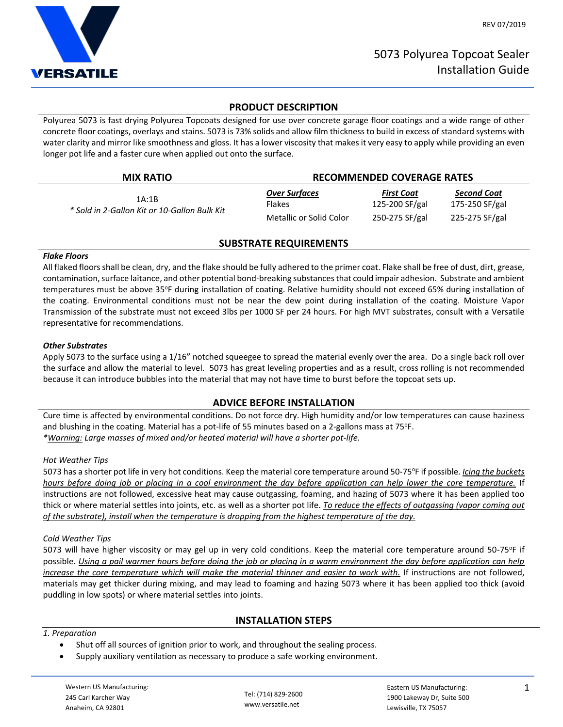

# **PRODUCT DESCRIPTION**

Polyurea 5073 is fast drying Polyurea Topcoats designed for use over concrete garage floor coatings and a wide range of other concrete floor coatings, overlays and stains. 5073 is 73% solids and allow film thickness to build in excess of standard systems with water clarity and mirror like smoothness and gloss. It has a lower viscosity that makes it very easy to apply while providing an even longer pot life and a faster cure when applied out onto the surface.

| <b>MIX RATIO</b>                                      | <b>RECOMMENDED COVERAGE RATES</b> |                   |                |
|-------------------------------------------------------|-----------------------------------|-------------------|----------------|
| 1A:1B<br>* Sold in 2-Gallon Kit or 10-Gallon Bulk Kit | <b>Over Surfaces</b>              | <b>First Coat</b> | Second Coat    |
|                                                       | <b>Flakes</b>                     | 125-200 SF/gal    | 175-250 SF/gal |
|                                                       | Metallic or Solid Color           | 250-275 SF/gal    | 225-275 SF/gal |

# **SUBSTRATE REQUIREMENTS**

## *Flake Floors*

All flaked floors shall be clean, dry, and the flake should be fully adhered to the primer coat. Flake shall be free of dust, dirt, grease, contamination, surface laitance, and other potential bond-breaking substances that could impair adhesion. Substrate and ambient temperatures must be above 35°F during installation of coating. Relative humidity should not exceed 65% during installation of the coating. Environmental conditions must not be near the dew point during installation of the coating. Moisture Vapor Transmission of the substrate must not exceed 3lbs per 1000 SF per 24 hours. For high MVT substrates, consult with a Versatile representative for recommendations.

## *Other Substrates*

Apply 5073 to the surface using a 1/16" notched squeegee to spread the material evenly over the area. Do a single back roll over the surface and allow the material to level. 5073 has great leveling properties and as a result, cross rolling is not recommended because it can introduce bubbles into the material that may not have time to burst before the topcoat sets up.

# **ADVICE BEFORE INSTALLATION**

Cure time is affected by environmental conditions. Do not force dry. High humidity and/or low temperatures can cause haziness and blushing in the coating. Material has a pot-life of 55 minutes based on a 2-gallons mass at 75°F. *\*Warning: Large masses of mixed and/or heated material will have a shorter pot-life.*

## *Hot Weather Tips*

5073 has a shorter pot life in very hot conditions. Keep the material core temperature around 50-75°F if possible. *Icing the buckets hours before doing job or placing in a cool environment the day before application can help lower the core temperature.* If instructions are not followed, excessive heat may cause outgassing, foaming, and hazing of 5073 where it has been applied too thick or where material settles into joints, etc. as well as a shorter pot life. *To reduce the effects of outgassing (vapor coming out of the substrate), install when the temperature is dropping from the highest temperature of the day.*

#### *Cold Weather Tips*

5073 will have higher viscosity or may gel up in very cold conditions. Keep the material core temperature around 50-75°F if possible. *Using a pail warmer hours before doing the job or placing in a warm environment the day before application can help increase the core temperature which will make the material thinner and easier to work with.* If instructions are not followed, materials may get thicker during mixing, and may lead to foaming and hazing 5073 where it has been applied too thick (avoid puddling in low spots) or where material settles into joints.

# **INSTALLATION STEPS**

## *1. Preparation*

- Shut off all sources of ignition prior to work, and throughout the sealing process.
- Supply auxiliary ventilation as necessary to produce a safe working environment.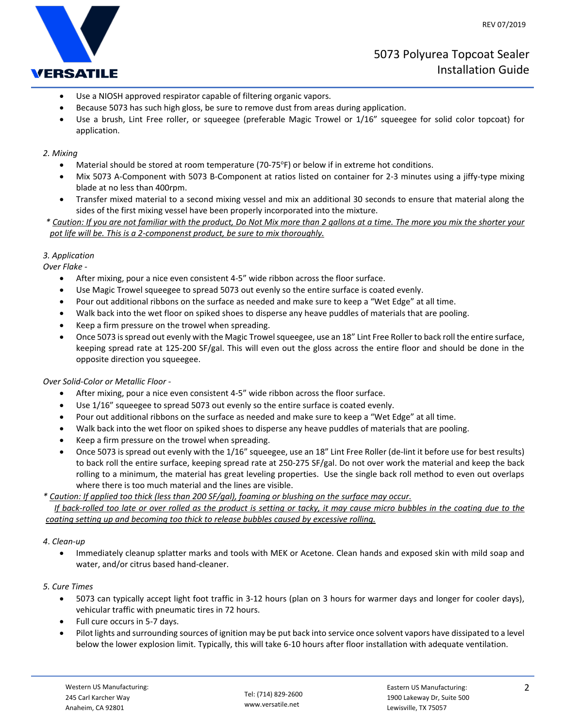

- Use a NIOSH approved respirator capable of filtering organic vapors.
- Because 5073 has such high gloss, be sure to remove dust from areas during application.
- Use a brush, Lint Free roller, or squeegee (preferable Magic Trowel or 1/16" squeegee for solid color topcoat) for application.

### *2. Mixing*

- Material should be stored at room temperature (70-75°F) or below if in extreme hot conditions.
- Mix 5073 A-Component with 5073 B-Component at ratios listed on container for 2-3 minutes using a jiffy-type mixing blade at no less than 400rpm.
- Transfer mixed material to a second mixing vessel and mix an additional 30 seconds to ensure that material along the sides of the first mixing vessel have been properly incorporated into the mixture.
- *\* Caution: If you are not familiar with the product, Do Not Mix more than 2 gallons at a time. The more you mix the shorter your pot life will be. This is a 2-componenst product, be sure to mix thoroughly.*

#### *3. Application*

*Over Flake -*

- After mixing, pour a nice even consistent 4-5" wide ribbon across the floor surface.
- Use Magic Trowel squeegee to spread 5073 out evenly so the entire surface is coated evenly.
- Pour out additional ribbons on the surface as needed and make sure to keep a "Wet Edge" at all time.
- Walk back into the wet floor on spiked shoes to disperse any heave puddles of materials that are pooling.
- Keep a firm pressure on the trowel when spreading.
- Once 5073 is spread out evenly with the Magic Trowel squeegee, use an 18" Lint Free Roller to back roll the entire surface, keeping spread rate at 125-200 SF/gal. This will even out the gloss across the entire floor and should be done in the opposite direction you squeegee.

## *Over Solid-Color or Metallic Floor -*

- After mixing, pour a nice even consistent 4-5" wide ribbon across the floor surface.
- Use 1/16" squeegee to spread 5073 out evenly so the entire surface is coated evenly.
- Pour out additional ribbons on the surface as needed and make sure to keep a "Wet Edge" at all time.
- Walk back into the wet floor on spiked shoes to disperse any heave puddles of materials that are pooling.
- Keep a firm pressure on the trowel when spreading.
- Once 5073 is spread out evenly with the 1/16" squeegee, use an 18" Lint Free Roller (de-lint it before use for best results) to back roll the entire surface, keeping spread rate at 250-275 SF/gal. Do not over work the material and keep the back rolling to a minimum, the material has great leveling properties. Use the single back roll method to even out overlaps where there is too much material and the lines are visible.

# *\* Caution: If applied too thick (less than 200 SF/gal), foaming or blushing on the surface may occur.*

 *If back-rolled too late or over rolled as the product is setting or tacky, it may cause micro bubbles in the coating due to the coating setting up and becoming too thick to release bubbles caused by excessive rolling.* 

## *4*. *Clean-up*

 Immediately cleanup splatter marks and tools with MEK or Acetone. Clean hands and exposed skin with mild soap and water, and/or citrus based hand-cleaner.

## *5. Cure Times*

- 5073 can typically accept light foot traffic in 3-12 hours (plan on 3 hours for warmer days and longer for cooler days), vehicular traffic with pneumatic tires in 72 hours.
- Full cure occurs in 5-7 days.
- Pilot lights and surrounding sources of ignition may be put back into service once solvent vapors have dissipated to a level below the lower explosion limit. Typically, this will take 6-10 hours after floor installation with adequate ventilation.